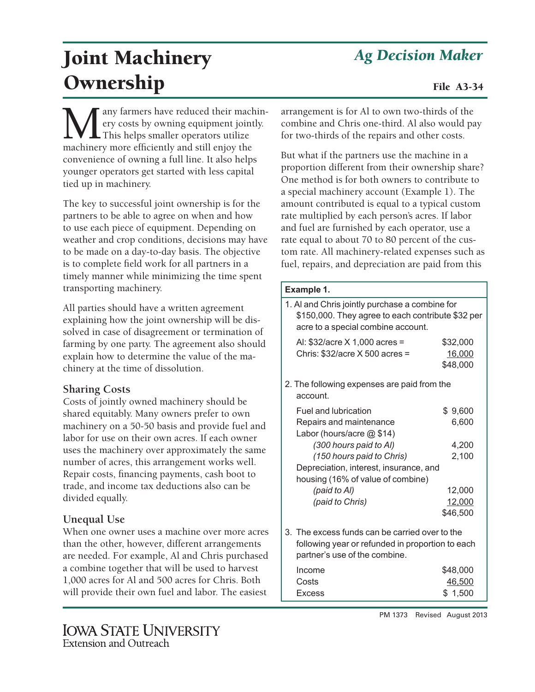## *Ag Decision Maker*

# Joint Machinery **Ownership** File A3-34

any farmers have reduced their machinery costs by owning equipment jointly. This helps smaller operators utilize machinery more efficiently and still enjoy the convenience of owning a full line. It also helps younger operators get started with less capital tied up in machinery.

The key to successful joint ownership is for the partners to be able to agree on when and how to use each piece of equipment. Depending on weather and crop conditions, decisions may have to be made on a day-to-day basis. The objective is to complete field work for all partners in a timely manner while minimizing the time spent transporting machinery.

All parties should have a written agreement explaining how the joint ownership will be dissolved in case of disagreement or termination of farming by one party. The agreement also should explain how to determine the value of the machinery at the time of dissolution.

### **Sharing Costs**

Costs of jointly owned machinery should be shared equitably. Many owners prefer to own machinery on a 50-50 basis and provide fuel and labor for use on their own acres. If each owner uses the machinery over approximately the same number of acres, this arrangement works well. Repair costs, financing payments, cash boot to trade, and income tax deductions also can be divided equally.

### **Unequal Use**

When one owner uses a machine over more acres than the other, however, different arrangements are needed. For example, Al and Chris purchased a combine together that will be used to harvest 1,000 acres for Al and 500 acres for Chris. Both will provide their own fuel and labor. The easiest

### **IOWA STATE UNIVERSITY Extension and Outreach**

arrangement is for Al to own two-thirds of the combine and Chris one-third. Al also would pay for two-thirds of the repairs and other costs.

But what if the partners use the machine in a proportion different from their ownership share? One method is for both owners to contribute to a special machinery account (Example 1). The amount contributed is equal to a typical custom rate multiplied by each person's acres. If labor and fuel are furnished by each operator, use a rate equal to about 70 to 80 percent of the custom rate. All machinery-related expenses such as fuel, repairs, and depreciation are paid from this

### **Example 1.**

| 1. Al and Chris jointly purchase a combine for<br>\$150,000. They agree to each contribute \$32 per<br>acre to a special combine account. |                                |  |  |
|-------------------------------------------------------------------------------------------------------------------------------------------|--------------------------------|--|--|
| AI: \$32/acre X 1,000 acres =<br>Chris: $$32/acre \times 500$ acres =                                                                     | \$32,000<br>16,000<br>\$48,000 |  |  |
| 2. The following expenses are paid from the<br>account.                                                                                   |                                |  |  |
| Fuel and lubrication                                                                                                                      | \$9,600                        |  |  |
| Repairs and maintenance<br>Labor (hours/acre @ \$14)                                                                                      | 6,600                          |  |  |
| (300 hours paid to Al)                                                                                                                    | 4,200                          |  |  |
| (150 hours paid to Chris)                                                                                                                 | 2,100                          |  |  |
| Depreciation, interest, insurance, and<br>housing (16% of value of combine)                                                               |                                |  |  |
| (paid to Al)                                                                                                                              | 12,000                         |  |  |
| (paid to Chris)                                                                                                                           | 12,000                         |  |  |
|                                                                                                                                           | \$46,500                       |  |  |
| 3. The excess funds can be carried over to the<br>following year or refunded in proportion to each<br>partner's use of the combine.       |                                |  |  |
| Income                                                                                                                                    | \$48,000                       |  |  |
| Costs                                                                                                                                     | <u>46,500</u>                  |  |  |
| <b>Excess</b>                                                                                                                             | \$1,500                        |  |  |

PM 1373 Revised August 2013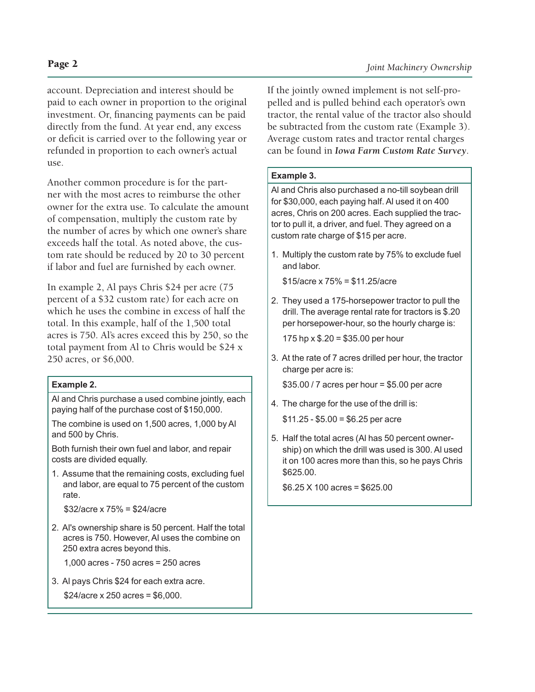account. Depreciation and interest should be paid to each owner in proportion to the original investment. Or, financing payments can be paid directly from the fund. At year end, any excess or deficit is carried over to the following year or refunded in proportion to each owner's actual use.

Another common procedure is for the partner with the most acres to reimburse the other owner for the extra use. To calculate the amount of compensation, multiply the custom rate by the number of acres by which one owner's share exceeds half the total. As noted above, the custom rate should be reduced by 20 to 30 percent if labor and fuel are furnished by each owner.

In example 2, Al pays Chris \$24 per acre (75 percent of a \$32 custom rate) for each acre on which he uses the combine in excess of half the total. In this example, half of the 1,500 total acres is 750. Al's acres exceed this by 250, so the total payment from Al to Chris would be \$24 x 250 acres, or \$6,000.

### **Example 2.**

Al and Chris purchase a used combine jointly, each paying half of the purchase cost of \$150,000.

The combine is used on 1,500 acres, 1,000 by Al and 500 by Chris.

Both furnish their own fuel and labor, and repair costs are divided equally.

1. Assume that the remaining costs, excluding fuel and labor, are equal to 75 percent of the custom rate.

\$32/acre x 75% = \$24/acre

2. Al's ownership share is 50 percent. Half the total acres is 750. However, Al uses the combine on 250 extra acres beyond this.

1,000 acres - 750 acres = 250 acres

3. Al pays Chris \$24 for each extra acre.

\$24/acre x 250 acres = \$6,000.

If the jointly owned implement is not self-propelled and is pulled behind each operator's own tractor, the rental value of the tractor also should be subtracted from the custom rate (Example 3). Average custom rates and tractor rental charges can be found in *Iowa Farm Custom Rate Survey*.

### **Example 3.**

Al and Chris also purchased a no-till soybean drill for \$30,000, each paying half. Al used it on 400 acres, Chris on 200 acres. Each supplied the tractor to pull it, a driver, and fuel. They agreed on a custom rate charge of \$15 per acre.

1. Multiply the custom rate by 75% to exclude fuel and labor.

\$15/acre x 75% = \$11.25/acre

2. They used a 175-horsepower tractor to pull the drill. The average rental rate for tractors is \$.20 per horsepower-hour, so the hourly charge is:

175 hp x \$.20 = \$35.00 per hour

3. At the rate of 7 acres drilled per hour, the tractor charge per acre is:

\$35.00 / 7 acres per hour = \$5.00 per acre

4. The charge for the use of the drill is:

 $$11.25 - $5.00 = $6.25$  per acre

5. Half the total acres (Al has 50 percent ownership) on which the drill was used is 300. Al used it on 100 acres more than this, so he pays Chris \$625.00.

\$6.25 X 100 acres = \$625.00